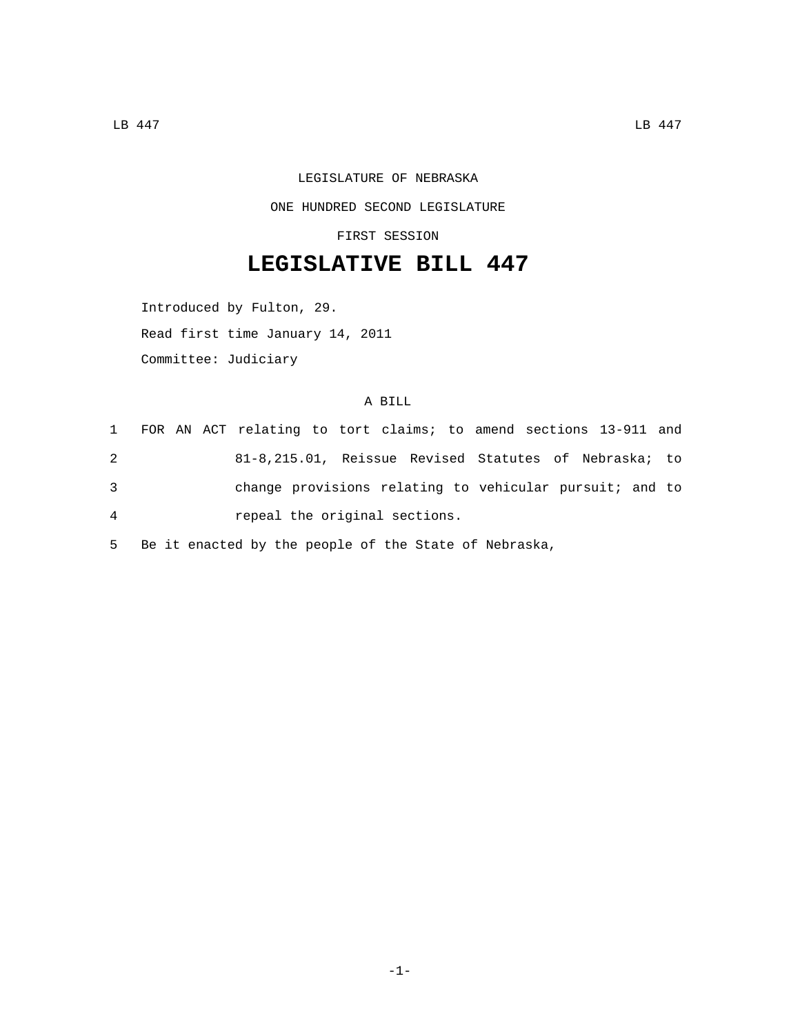## LEGISLATURE OF NEBRASKA ONE HUNDRED SECOND LEGISLATURE

FIRST SESSION

## **LEGISLATIVE BILL 447**

Introduced by Fulton, 29. Read first time January 14, 2011 Committee: Judiciary

## A BILL

|                |  | 1 FOR AN ACT relating to tort claims; to amend sections 13-911 and |  |  |  |  |  |  |
|----------------|--|--------------------------------------------------------------------|--|--|--|--|--|--|
| 2              |  | 81-8,215.01, Reissue Revised Statutes of Nebraska; to              |  |  |  |  |  |  |
| 3              |  | change provisions relating to vehicular pursuit; and to            |  |  |  |  |  |  |
| $\overline{4}$ |  | repeal the original sections.                                      |  |  |  |  |  |  |

5 Be it enacted by the people of the State of Nebraska,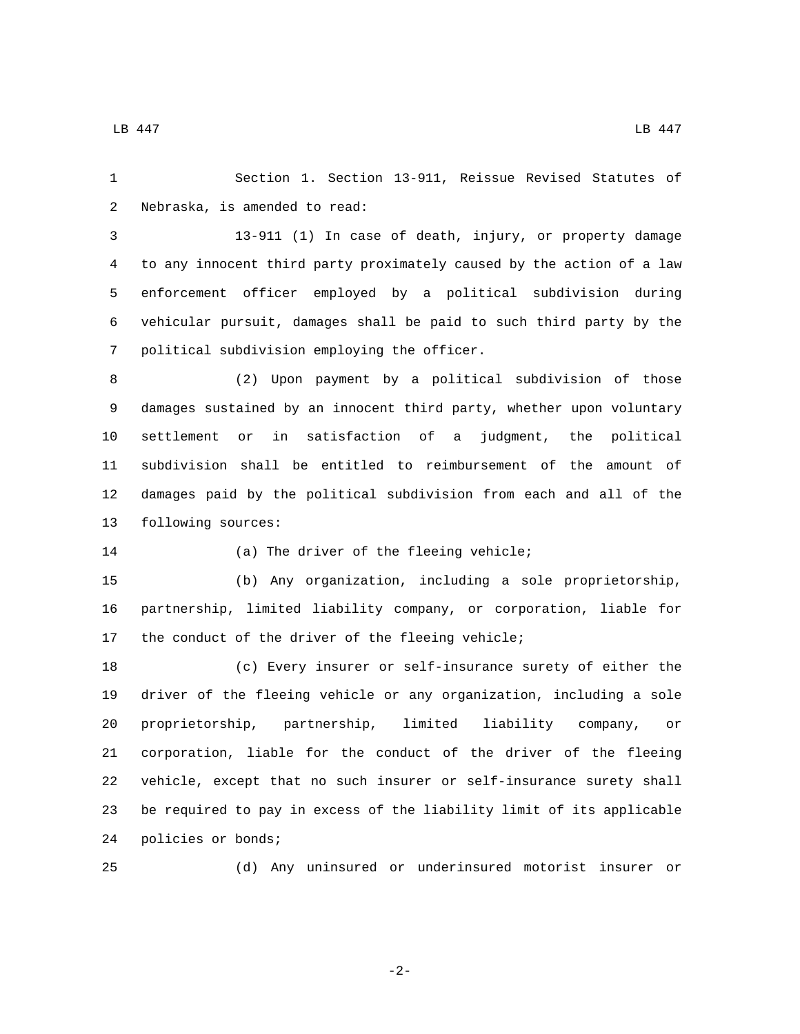$\Box$ B 447 LB 447

 Section 1. Section 13-911, Reissue Revised Statutes of 2 Nebraska, is amended to read:

 13-911 (1) In case of death, injury, or property damage to any innocent third party proximately caused by the action of a law enforcement officer employed by a political subdivision during vehicular pursuit, damages shall be paid to such third party by the 7 political subdivision employing the officer.

 (2) Upon payment by a political subdivision of those damages sustained by an innocent third party, whether upon voluntary settlement or in satisfaction of a judgment, the political subdivision shall be entitled to reimbursement of the amount of damages paid by the political subdivision from each and all of the 13 following sources:

(a) The driver of the fleeing vehicle;

 (b) Any organization, including a sole proprietorship, partnership, limited liability company, or corporation, liable for 17 the conduct of the driver of the fleeing vehicle;

 (c) Every insurer or self-insurance surety of either the driver of the fleeing vehicle or any organization, including a sole proprietorship, partnership, limited liability company, or corporation, liable for the conduct of the driver of the fleeing vehicle, except that no such insurer or self-insurance surety shall be required to pay in excess of the liability limit of its applicable 24 policies or bonds;

(d) Any uninsured or underinsured motorist insurer or

-2-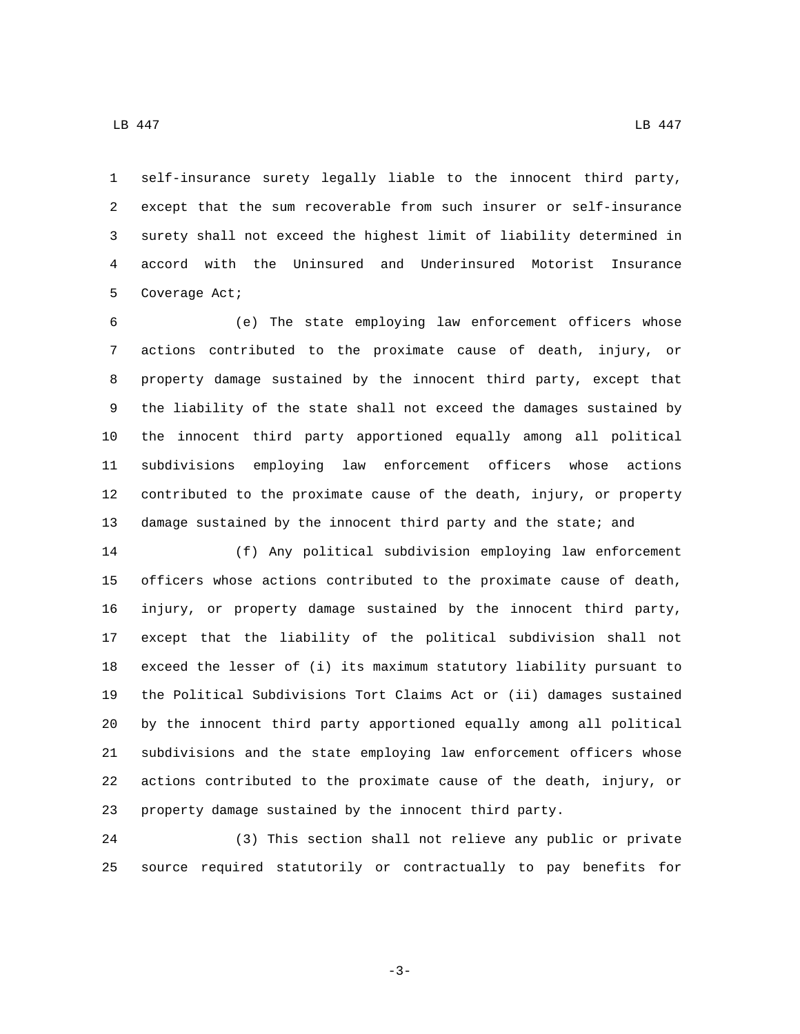self-insurance surety legally liable to the innocent third party, except that the sum recoverable from such insurer or self-insurance surety shall not exceed the highest limit of liability determined in accord with the Uninsured and Underinsured Motorist Insurance 5 Coverage Act;

 (e) The state employing law enforcement officers whose actions contributed to the proximate cause of death, injury, or property damage sustained by the innocent third party, except that the liability of the state shall not exceed the damages sustained by the innocent third party apportioned equally among all political subdivisions employing law enforcement officers whose actions contributed to the proximate cause of the death, injury, or property 13 damage sustained by the innocent third party and the state; and

 (f) Any political subdivision employing law enforcement officers whose actions contributed to the proximate cause of death, injury, or property damage sustained by the innocent third party, except that the liability of the political subdivision shall not exceed the lesser of (i) its maximum statutory liability pursuant to the Political Subdivisions Tort Claims Act or (ii) damages sustained by the innocent third party apportioned equally among all political subdivisions and the state employing law enforcement officers whose actions contributed to the proximate cause of the death, injury, or property damage sustained by the innocent third party.

 (3) This section shall not relieve any public or private source required statutorily or contractually to pay benefits for

-3-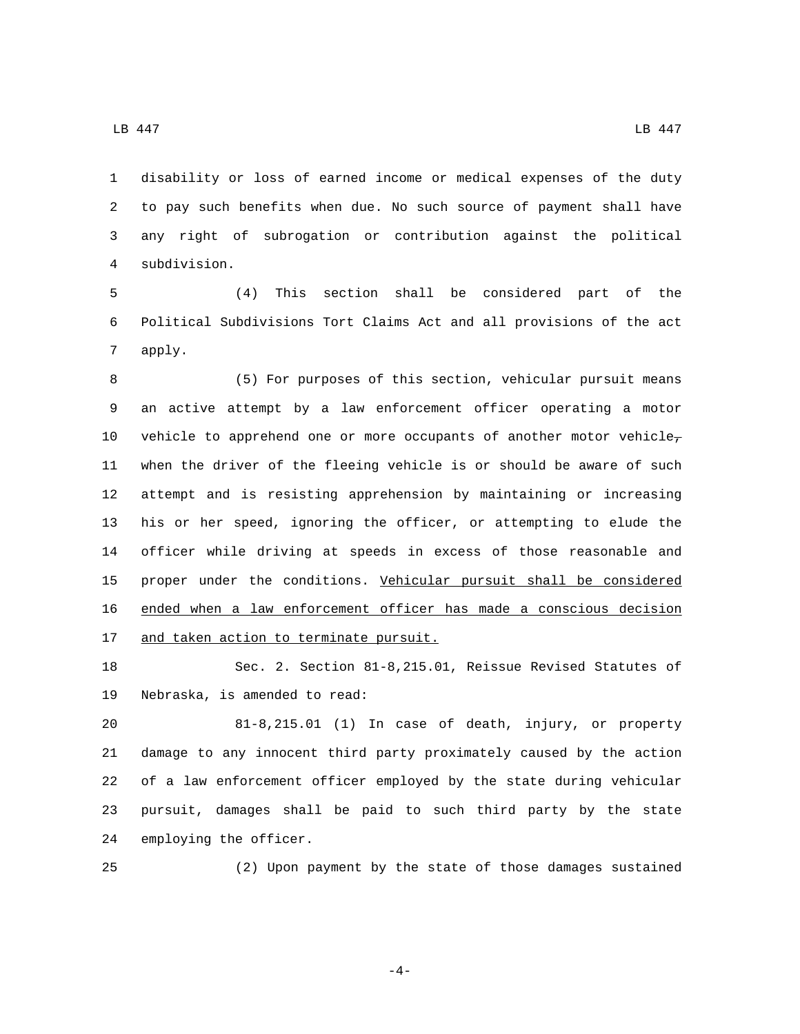$\Box$ B 447 LB 447

 disability or loss of earned income or medical expenses of the duty to pay such benefits when due. No such source of payment shall have any right of subrogation or contribution against the political subdivision.4

 (4) This section shall be considered part of the Political Subdivisions Tort Claims Act and all provisions of the act 7 apply.

 (5) For purposes of this section, vehicular pursuit means an active attempt by a law enforcement officer operating a motor 10 vehicle to apprehend one or more occupants of another motor vehicle, when the driver of the fleeing vehicle is or should be aware of such attempt and is resisting apprehension by maintaining or increasing his or her speed, ignoring the officer, or attempting to elude the officer while driving at speeds in excess of those reasonable and proper under the conditions. Vehicular pursuit shall be considered ended when a law enforcement officer has made a conscious decision 17 and taken action to terminate pursuit.

 Sec. 2. Section 81-8,215.01, Reissue Revised Statutes of 19 Nebraska, is amended to read:

 81-8,215.01 (1) In case of death, injury, or property damage to any innocent third party proximately caused by the action of a law enforcement officer employed by the state during vehicular pursuit, damages shall be paid to such third party by the state 24 employing the officer.

(2) Upon payment by the state of those damages sustained

-4-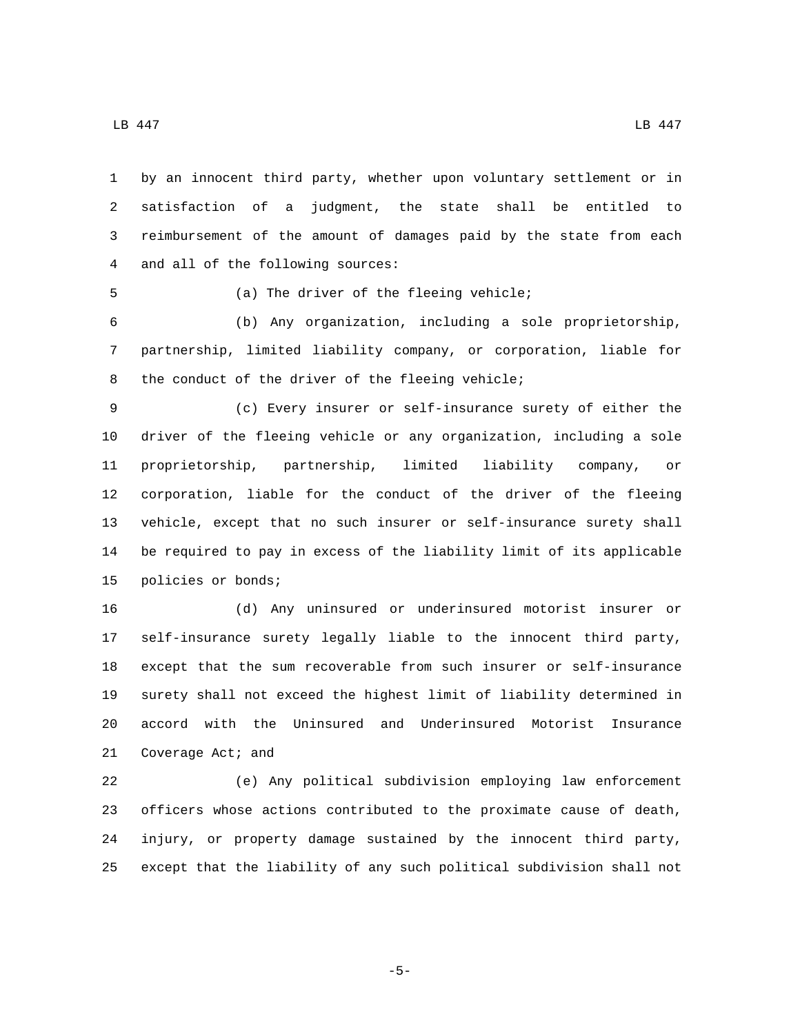by an innocent third party, whether upon voluntary settlement or in satisfaction of a judgment, the state shall be entitled to reimbursement of the amount of damages paid by the state from each 4 and all of the following sources:

5 (a) The driver of the fleeing vehicle;

 (b) Any organization, including a sole proprietorship, partnership, limited liability company, or corporation, liable for 8 the conduct of the driver of the fleeing vehicle;

 (c) Every insurer or self-insurance surety of either the driver of the fleeing vehicle or any organization, including a sole proprietorship, partnership, limited liability company, or corporation, liable for the conduct of the driver of the fleeing vehicle, except that no such insurer or self-insurance surety shall be required to pay in excess of the liability limit of its applicable 15 policies or bonds;

 (d) Any uninsured or underinsured motorist insurer or self-insurance surety legally liable to the innocent third party, except that the sum recoverable from such insurer or self-insurance surety shall not exceed the highest limit of liability determined in accord with the Uninsured and Underinsured Motorist Insurance 21 Coverage Act; and

 (e) Any political subdivision employing law enforcement officers whose actions contributed to the proximate cause of death, injury, or property damage sustained by the innocent third party, except that the liability of any such political subdivision shall not

-5-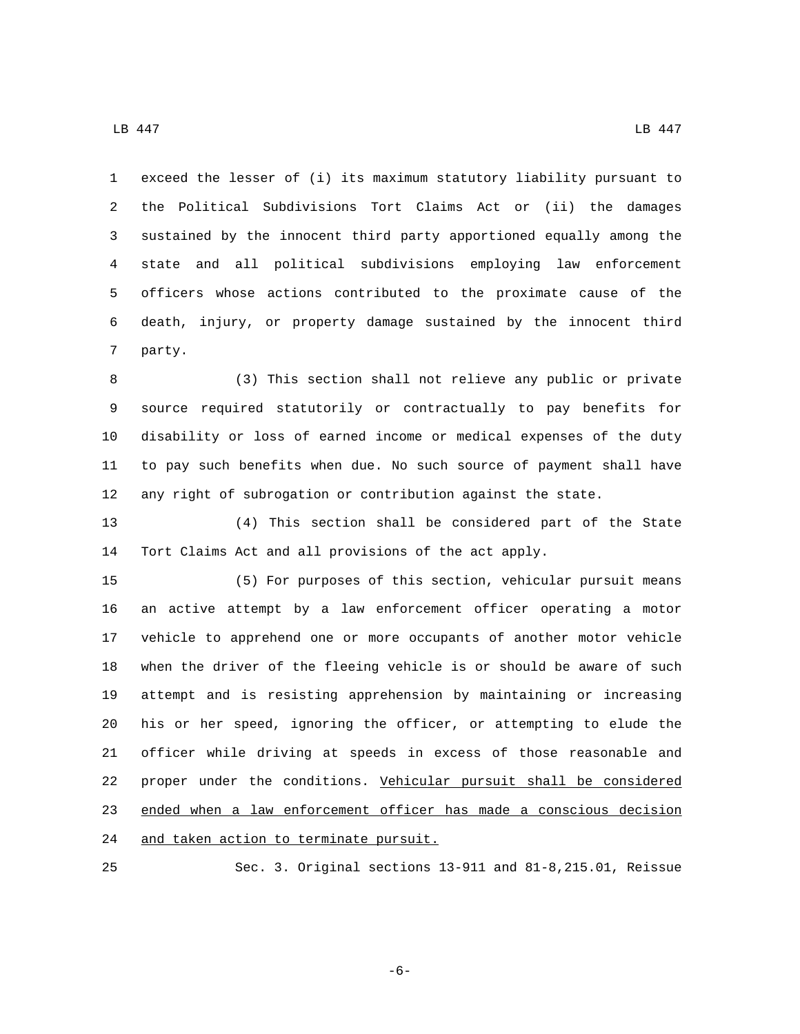exceed the lesser of (i) its maximum statutory liability pursuant to the Political Subdivisions Tort Claims Act or (ii) the damages sustained by the innocent third party apportioned equally among the state and all political subdivisions employing law enforcement officers whose actions contributed to the proximate cause of the death, injury, or property damage sustained by the innocent third 7 party.

 (3) This section shall not relieve any public or private source required statutorily or contractually to pay benefits for disability or loss of earned income or medical expenses of the duty to pay such benefits when due. No such source of payment shall have any right of subrogation or contribution against the state.

 (4) This section shall be considered part of the State Tort Claims Act and all provisions of the act apply.

 (5) For purposes of this section, vehicular pursuit means an active attempt by a law enforcement officer operating a motor vehicle to apprehend one or more occupants of another motor vehicle when the driver of the fleeing vehicle is or should be aware of such attempt and is resisting apprehension by maintaining or increasing his or her speed, ignoring the officer, or attempting to elude the officer while driving at speeds in excess of those reasonable and proper under the conditions. Vehicular pursuit shall be considered ended when a law enforcement officer has made a conscious decision 24 and taken action to terminate pursuit.

Sec. 3. Original sections 13-911 and 81-8,215.01, Reissue

-6-